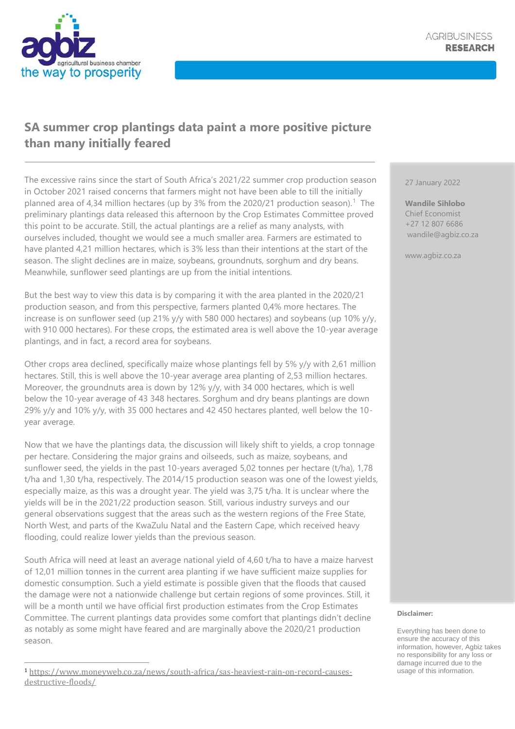

## **SA summer crop plantings data paint a more positive picture than many initially feared**

The excessive rains since the start of South Africa's 2021/22 summer crop production season in October 2021 raised concerns that farmers might not have been able to till the initially planned area of 4,34 million hectares (up by 3% from the 2020/21 production season).<sup>1</sup> The preliminary plantings data released this afternoon by the Crop Estimates Committee proved this point to be accurate. Still, the actual plantings are a relief as many analysts, with ourselves included, thought we would see a much smaller area. Farmers are estimated to have planted 4,21 million hectares, which is 3% less than their intentions at the start of the season. The slight declines are in maize, soybeans, groundnuts, sorghum and dry beans. Meanwhile, sunflower seed plantings are up from the initial intentions.

But the best way to view this data is by comparing it with the area planted in the 2020/21 production season, and from this perspective, farmers planted 0,4% more hectares. The increase is on sunflower seed (up 21% y/y with 580 000 hectares) and soybeans (up 10% y/y, with 910 000 hectares). For these crops, the estimated area is well above the 10-year average plantings, and in fact, a record area for soybeans.

Other crops area declined, specifically maize whose plantings fell by 5% y/y with 2,61 million hectares. Still, this is well above the 10-year average area planting of 2,53 million hectares. Moreover, the groundnuts area is down by 12% y/y, with 34 000 hectares, which is well below the 10-year average of 43 348 hectares. Sorghum and dry beans plantings are down 29% y/y and 10% y/y, with 35 000 hectares and 42 450 hectares planted, well below the 10 year average.

Now that we have the plantings data, the discussion will likely shift to yields, a crop tonnage per hectare. Considering the major grains and oilseeds, such as maize, soybeans, and sunflower seed, the yields in the past 10-years averaged 5,02 tonnes per hectare (t/ha), 1,78 t/ha and 1,30 t/ha, respectively. The 2014/15 production season was one of the lowest yields, especially maize, as this was a drought year. The yield was 3,75 t/ha. It is unclear where the yields will be in the 2021/22 production season. Still, various industry surveys and our general observations suggest that the areas such as the western regions of the Free State, North West, and parts of the KwaZulu Natal and the Eastern Cape, which received heavy flooding, could realize lower yields than the previous season.

South Africa will need at least an average national yield of 4,60 t/ha to have a maize harvest of 12,01 million tonnes in the current area planting if we have sufficient maize supplies for domestic consumption. Such a yield estimate is possible given that the floods that caused the damage were not a nationwide challenge but certain regions of some provinces. Still, it will be a month until we have official first production estimates from the Crop Estimates Committee. The current plantings data provides some comfort that plantings didn't decline as notably as some might have feared and are marginally above the 2020/21 production season.

27 January 2022

**Wandile Sihlobo** Chief Economist +27 12 807 6686 wandile@agbiz.co.za

www.agbiz.co.za

## **Disclaimer:**

<sup>1</sup> [https://www.moneyweb.co.za/news/south-africa/sas-heaviest-rain-on-record-causes](https://www.moneyweb.co.za/news/south-africa/sas-heaviest-rain-on-record-causes-destructive-floods/)[destructive-floods/](https://www.moneyweb.co.za/news/south-africa/sas-heaviest-rain-on-record-causes-destructive-floods/)

Everything has been done to ensure the accuracy of this information, however, Agbiz takes no responsibility for any loss or damage incurred due to the usage of this information.